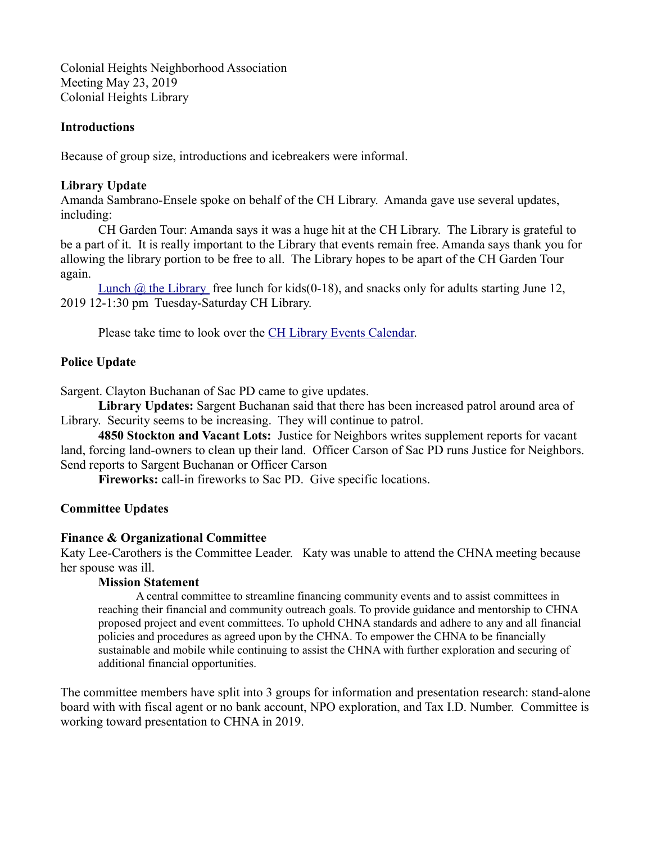Colonial Heights Neighborhood Association Meeting May 23, 2019 Colonial Heights Library

### **Introductions**

Because of group size, introductions and icebreakers were informal.

# **Library Update**

Amanda Sambrano-Ensele spoke on behalf of the CH Library. Amanda gave use several updates, including:

CH Garden Tour: Amanda says it was a huge hit at the CH Library. The Library is grateful to be a part of it. It is really important to the Library that events remain free. Amanda says thank you for allowing the library portion to be free to all. The Library hopes to be apart of the CH Garden Tour again.

Lunch  $\omega$  the Library free lunch for kids (0-18), and snacks only for adults starting June 12, 2019 12-1:30 pm Tuesday-Saturday CH Library.

Please take time to look over the **CH Library Events Calendar**.

# **Police Update**

Sargent. Clayton Buchanan of Sac PD came to give updates.

**Library Updates:** Sargent Buchanan said that there has been increased patrol around area of Library. Security seems to be increasing. They will continue to patrol.

**4850 Stockton and Vacant Lots:** Justice for Neighbors writes supplement reports for vacant land, forcing land-owners to clean up their land. Officer Carson of Sac PD runs Justice for Neighbors. Send reports to Sargent Buchanan or Officer Carson

**Fireworks:** call-in fireworks to Sac PD. Give specific locations.

### **Committee Updates**

### **Finance & Organizational Committee**

Katy Lee-Carothers is the Committee Leader. Katy was unable to attend the CHNA meeting because her spouse was ill.

### **Mission Statement**

A central committee to streamline financing community events and to assist committees in reaching their financial and community outreach goals. To provide guidance and mentorship to CHNA proposed project and event committees. To uphold CHNA standards and adhere to any and all financial policies and procedures as agreed upon by the CHNA. To empower the CHNA to be financially sustainable and mobile while continuing to assist the CHNA with further exploration and securing of additional financial opportunities.

The committee members have split into 3 groups for information and presentation research: stand-alone board with with fiscal agent or no bank account, NPO exploration, and Tax I.D. Number. Committee is working toward presentation to CHNA in 2019.